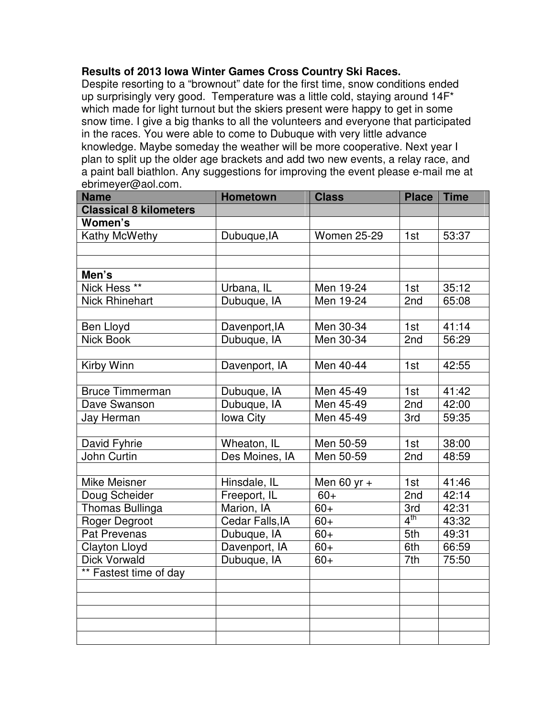## **Results of 2013 Iowa Winter Games Cross Country Ski Races.**

Despite resorting to a "brownout" date for the first time, snow conditions ended up surprisingly very good. Temperature was a little cold, staying around 14F\* which made for light turnout but the skiers present were happy to get in some snow time. I give a big thanks to all the volunteers and everyone that participated in the races. You were able to come to Dubuque with very little advance knowledge. Maybe someday the weather will be more cooperative. Next year I plan to split up the older age brackets and add two new events, a relay race, and a paint ball biathlon. Any suggestions for improving the event please e-mail me at ebrimeyer@aol.com.

| <b>Name</b>                   | <b>Hometown</b>  | <b>Class</b>       | <b>Place</b>    | <b>Time</b> |
|-------------------------------|------------------|--------------------|-----------------|-------------|
| <b>Classical 8 kilometers</b> |                  |                    |                 |             |
| Women's                       |                  |                    |                 |             |
| Kathy McWethy                 | Dubuque, IA      | <b>Women 25-29</b> | 1st             | 53:37       |
|                               |                  |                    |                 |             |
|                               |                  |                    |                 |             |
| Men's                         |                  |                    |                 |             |
| Nick Hess <sup>**</sup>       | Urbana, IL       | Men 19-24          | 1st             | 35:12       |
| <b>Nick Rhinehart</b>         | Dubuque, IA      | Men 19-24          | 2nd             | 65:08       |
|                               |                  |                    |                 |             |
| Ben Lloyd                     | Davenport, IA    | Men 30-34          | 1st             | 41:14       |
| <b>Nick Book</b>              | Dubuque, IA      | Men 30-34          | 2nd             | 56:29       |
|                               |                  |                    |                 |             |
| Kirby Winn                    | Davenport, IA    | Men 40-44          | 1st             | 42:55       |
|                               |                  |                    |                 |             |
| <b>Bruce Timmerman</b>        | Dubuque, IA      | Men 45-49          | 1st             | 41:42       |
| Dave Swanson                  | Dubuque, IA      | Men 45-49          | 2nd             | 42:00       |
| Jay Herman                    | <b>Iowa City</b> | Men 45-49          | 3rd             | 59:35       |
|                               |                  |                    |                 |             |
| David Fyhrie                  | Wheaton, IL      | Men 50-59          | 1st             | 38:00       |
| John Curtin                   | Des Moines, IA   | Men 50-59          | 2nd             | 48:59       |
|                               |                  |                    |                 |             |
| <b>Mike Meisner</b>           | Hinsdale, IL     | Men 60 yr $+$      | 1st             | 41:46       |
| Doug Scheider                 | Freeport, IL     | $60+$              | 2nd             | 42:14       |
| Thomas Bullinga               | Marion, IA       | $60+$              | 3rd             | 42:31       |
| <b>Roger Degroot</b>          | Cedar Falls, IA  | $60+$              | $4^{\text{th}}$ | 43:32       |
| <b>Pat Prevenas</b>           | Dubuque, IA      | $60+$              | 5th             | 49:31       |
| <b>Clayton Lloyd</b>          | Davenport, IA    | $60+$              | 6th             | 66:59       |
| <b>Dick Vorwald</b>           | Dubuque, IA      | $60+$              | 7th             | 75:50       |
| ** Fastest time of day        |                  |                    |                 |             |
|                               |                  |                    |                 |             |
|                               |                  |                    |                 |             |
|                               |                  |                    |                 |             |
|                               |                  |                    |                 |             |
|                               |                  |                    |                 |             |